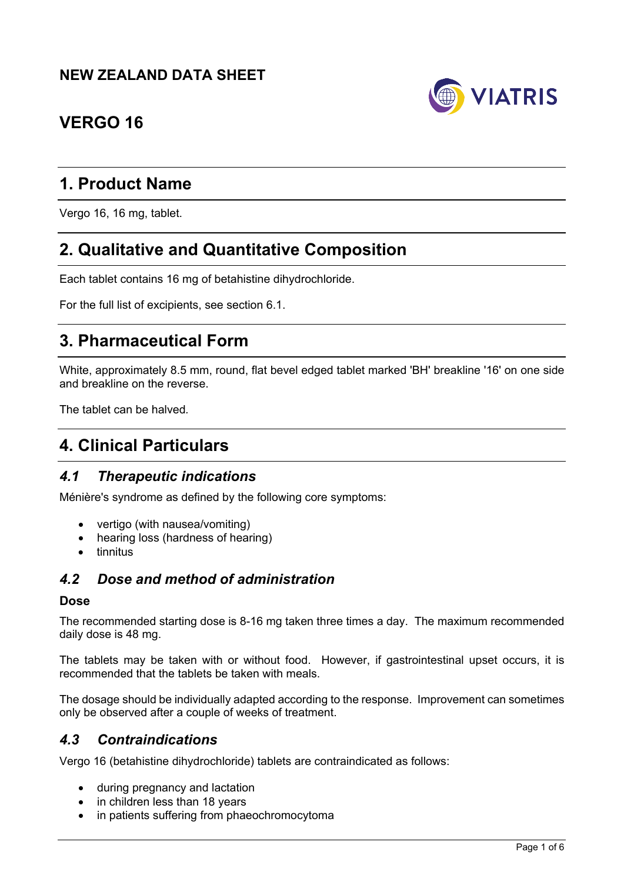## **NEW ZEALAND DATA SHEET**



# **VERGO 16**

# **1. Product Name**

Vergo 16, 16 mg, tablet.

# **2. Qualitative and Quantitative Composition**

Each tablet contains 16 mg of betahistine dihydrochloride.

For the full list of excipients, see section 6.1.

# **3. Pharmaceutical Form**

White, approximately 8.5 mm, round, flat bevel edged tablet marked 'BH' breakline '16' on one side and breakline on the reverse.

The tablet can be halved*.*

# **4. Clinical Particulars**

### *4.1 Therapeutic indications*

Ménière's syndrome as defined by the following core symptoms:

- vertigo (with nausea/vomiting)
- hearing loss (hardness of hearing)
- $\bullet$  tinnitus

### *4.2 Dose and method of administration*

#### **Dose**

The recommended starting dose is 8-16 mg taken three times a day. The maximum recommended daily dose is 48 mg.

The tablets may be taken with or without food. However, if gastrointestinal upset occurs, it is recommended that the tablets be taken with meals.

The dosage should be individually adapted according to the response. Improvement can sometimes only be observed after a couple of weeks of treatment.

#### *4.3 Contraindications*

Vergo 16 (betahistine dihydrochloride) tablets are contraindicated as follows:

- during pregnancy and lactation
- in children less than 18 years
- in patients suffering from phaeochromocytoma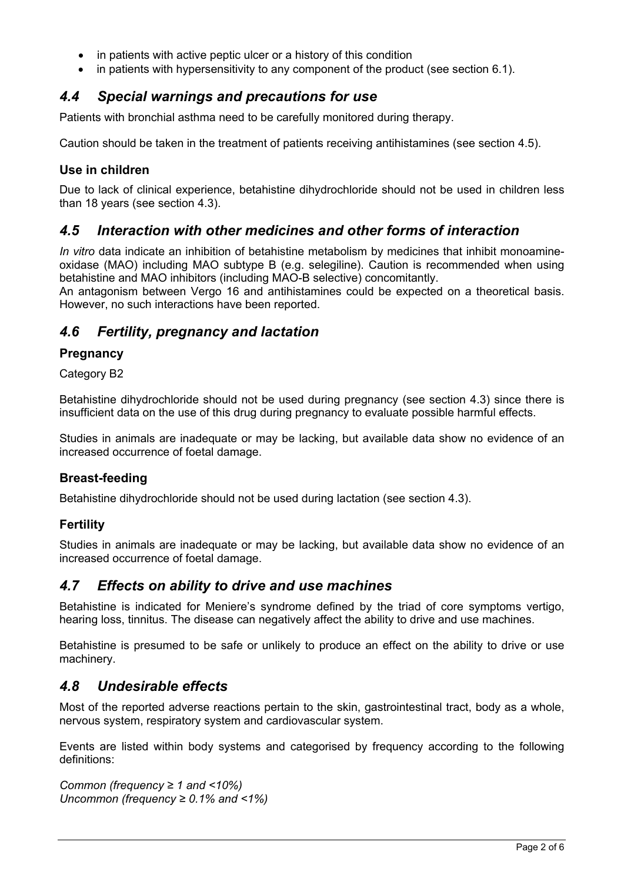- in patients with active peptic ulcer or a history of this condition
- in patients with hypersensitivity to any component of the product (see section 6.1).

### *4.4 Special warnings and precautions for use*

Patients with bronchial asthma need to be carefully monitored during therapy.

Caution should be taken in the treatment of patients receiving antihistamines (see section 4.5).

### **Use in children**

Due to lack of clinical experience, betahistine dihydrochloride should not be used in children less than 18 years (see section 4.3).

### *4.5 Interaction with other medicines and other forms of interaction*

*In vitro* data indicate an inhibition of betahistine metabolism by medicines that inhibit monoamineoxidase (MAO) including MAO subtype B (e.g. selegiline). Caution is recommended when using betahistine and MAO inhibitors (including MAO-B selective) concomitantly.

An antagonism between Vergo 16 and antihistamines could be expected on a theoretical basis. However, no such interactions have been reported.

### *4.6 Fertility, pregnancy and lactation*

### **Pregnancy**

Category B2

Betahistine dihydrochloride should not be used during pregnancy (see section 4.3) since there is insufficient data on the use of this drug during pregnancy to evaluate possible harmful effects.

Studies in animals are inadequate or may be lacking, but available data show no evidence of an increased occurrence of foetal damage.

#### **Breast-feeding**

Betahistine dihydrochloride should not be used during lactation (see section 4.3).

#### **Fertility**

Studies in animals are inadequate or may be lacking, but available data show no evidence of an increased occurrence of foetal damage.

### *4.7 Effects on ability to drive and use machines*

Betahistine is indicated for Meniere's syndrome defined by the triad of core symptoms vertigo, hearing loss, tinnitus. The disease can negatively affect the ability to drive and use machines.

Betahistine is presumed to be safe or unlikely to produce an effect on the ability to drive or use machinery.

### *4.8 Undesirable effects*

Most of the reported adverse reactions pertain to the skin, gastrointestinal tract, body as a whole, nervous system, respiratory system and cardiovascular system.

Events are listed within body systems and categorised by frequency according to the following definitions:

*Common (frequency ≥ 1 and <10%) Uncommon (frequency ≥ 0.1% and <1%)*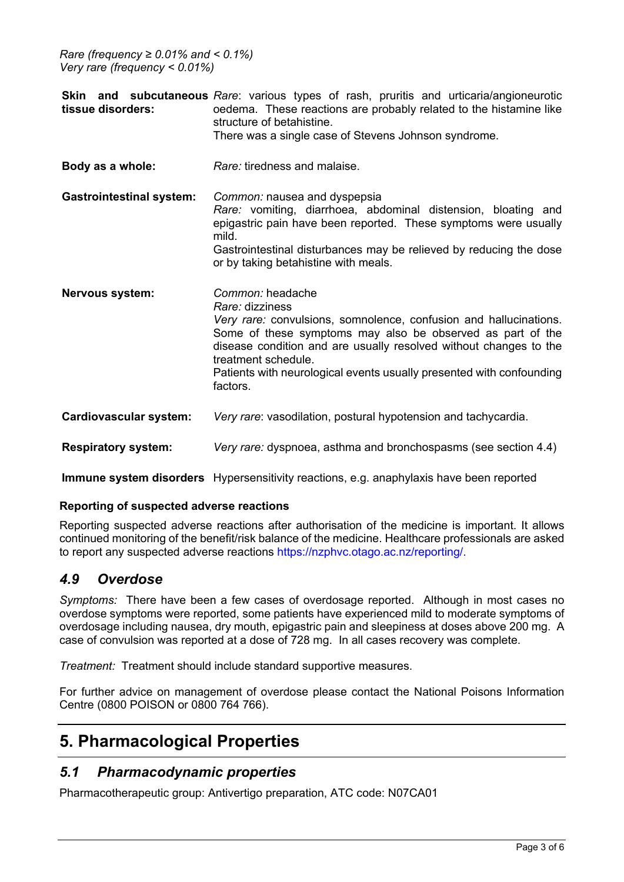*Rare (frequency ≥ 0.01% and < 0.1%) Very rare (frequency < 0.01%)*

| tissue disorders:               | <b>Skin and subcutaneous</b> Rare: various types of rash, pruritis and urticaria/angioneurotic<br>oedema. These reactions are probably related to the histamine like<br>structure of betahistine.<br>There was a single case of Stevens Johnson syndrome.                                                                                              |
|---------------------------------|--------------------------------------------------------------------------------------------------------------------------------------------------------------------------------------------------------------------------------------------------------------------------------------------------------------------------------------------------------|
| Body as a whole:                | Rare: tiredness and malaise.                                                                                                                                                                                                                                                                                                                           |
| <b>Gastrointestinal system:</b> | Common: nausea and dyspepsia<br>Rare: vomiting, diarrhoea, abdominal distension, bloating and<br>epigastric pain have been reported. These symptoms were usually<br>mild.<br>Gastrointestinal disturbances may be relieved by reducing the dose<br>or by taking betahistine with meals.                                                                |
| Nervous system:                 | Common: headache<br>Rare: dizziness<br>Very rare: convulsions, somnolence, confusion and hallucinations.<br>Some of these symptoms may also be observed as part of the<br>disease condition and are usually resolved without changes to the<br>treatment schedule.<br>Patients with neurological events usually presented with confounding<br>factors. |
| Cardiovascular system:          | Very rare: vasodilation, postural hypotension and tachycardia.                                                                                                                                                                                                                                                                                         |
| <b>Respiratory system:</b>      | Very rare: dyspnoea, asthma and bronchospasms (see section 4.4)                                                                                                                                                                                                                                                                                        |

**Immune system disorders** Hypersensitivity reactions, e.g. anaphylaxis have been reported

#### **Reporting of suspected adverse reactions**

Reporting suspected adverse reactions after authorisation of the medicine is important. It allows continued monitoring of the benefit/risk balance of the medicine. Healthcare professionals are asked to report any suspected adverse reactions https://nzphvc.otago.ac.nz/reporting/.

### *4.9 Overdose*

*Symptoms:* There have been a few cases of overdosage reported. Although in most cases no overdose symptoms were reported, some patients have experienced mild to moderate symptoms of overdosage including nausea, dry mouth, epigastric pain and sleepiness at doses above 200 mg. A case of convulsion was reported at a dose of 728 mg. In all cases recovery was complete.

*Treatment:* Treatment should include standard supportive measures.

For further advice on management of overdose please contact the National Poisons Information Centre (0800 POISON or 0800 764 766).

# **5. Pharmacological Properties**

### *5.1 Pharmacodynamic properties*

Pharmacotherapeutic group: Antivertigo preparation, ATC code: N07CA01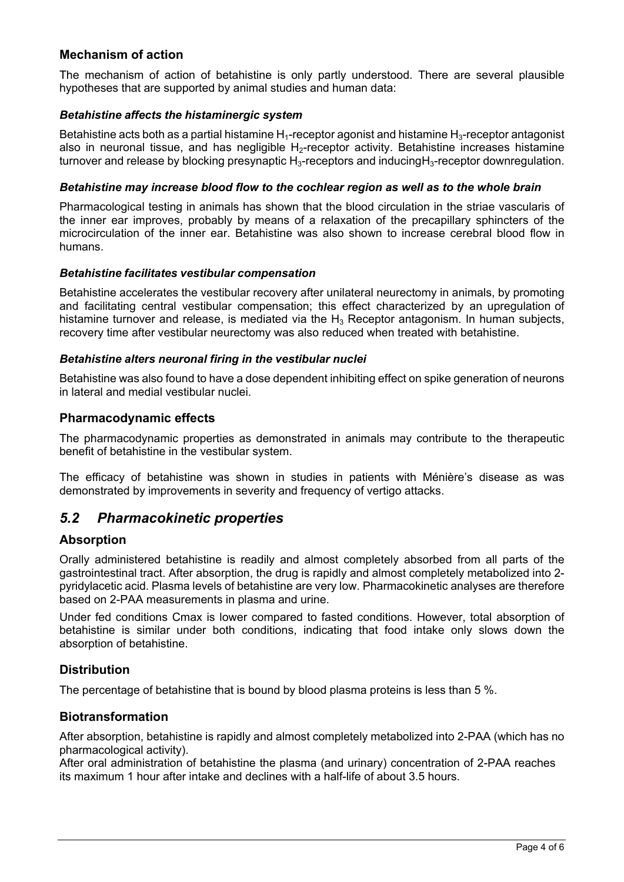#### **Mechanism of action**

The mechanism of action of betahistine is only partly understood. There are several plausible hypotheses that are supported by animal studies and human data:

#### *Betahistine affects the histaminergic system*

Betahistine acts both as a partial histamine  $H_1$ -receptor agonist and histamine  $H_3$ -receptor antagonist also in neuronal tissue, and has negligible  $H_2$ -receptor activity. Betahistine increases histamine turnover and release by blocking presynaptic  $H_3$ -receptors and inducing  $H_3$ -receptor downregulation.

#### *Betahistine may increase blood flow to the cochlear region as well as to the whole brain*

Pharmacological testing in animals has shown that the blood circulation in the striae vascularis of the inner ear improves, probably by means of a relaxation of the precapillary sphincters of the microcirculation of the inner ear. Betahistine was also shown to increase cerebral blood flow in humans.

#### *Betahistine facilitates vestibular compensation*

Betahistine accelerates the vestibular recovery after unilateral neurectomy in animals, by promoting and facilitating central vestibular compensation; this effect characterized by an upregulation of histamine turnover and release, is mediated via the  $H_3$  Receptor antagonism. In human subjects, recovery time after vestibular neurectomy was also reduced when treated with betahistine.

#### *Betahistine alters neuronal firing in the vestibular nuclei*

Betahistine was also found to have a dose dependent inhibiting effect on spike generation of neurons in lateral and medial vestibular nuclei.

#### **Pharmacodynamic effects**

The pharmacodynamic properties as demonstrated in animals may contribute to the therapeutic benefit of betahistine in the vestibular system.

The efficacy of betahistine was shown in studies in patients with Ménière's disease as was demonstrated by improvements in severity and frequency of vertigo attacks.

### *5.2 Pharmacokinetic properties*

#### **Absorption**

Orally administered betahistine is readily and almost completely absorbed from all parts of the gastrointestinal tract. After absorption, the drug is rapidly and almost completely metabolized into 2 pyridylacetic acid. Plasma levels of betahistine are very low. Pharmacokinetic analyses are therefore based on 2-PAA measurements in plasma and urine.

Under fed conditions Cmax is lower compared to fasted conditions. However, total absorption of betahistine is similar under both conditions, indicating that food intake only slows down the absorption of betahistine.

#### **Distribution**

The percentage of betahistine that is bound by blood plasma proteins is less than 5 %.

#### **Biotransformation**

After absorption, betahistine is rapidly and almost completely metabolized into 2-PAA (which has no pharmacological activity).

After oral administration of betahistine the plasma (and urinary) concentration of 2-PAA reaches its maximum 1 hour after intake and declines with a half-life of about 3.5 hours.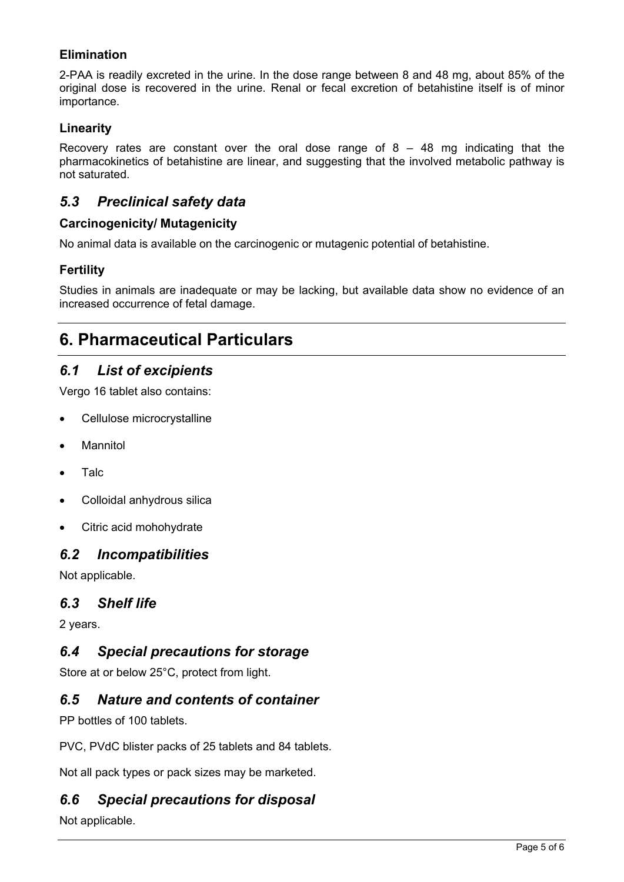### **Elimination**

2-PAA is readily excreted in the urine. In the dose range between 8 and 48 mg, about 85% of the original dose is recovered in the urine. Renal or fecal excretion of betahistine itself is of minor importance.

### **Linearity**

Recovery rates are constant over the oral dose range of  $8 - 48$  mg indicating that the pharmacokinetics of betahistine are linear, and suggesting that the involved metabolic pathway is not saturated.

### *5.3 Preclinical safety data*

### **Carcinogenicity/ Mutagenicity**

No animal data is available on the carcinogenic or mutagenic potential of betahistine.

### **Fertility**

Studies in animals are inadequate or may be lacking, but available data show no evidence of an increased occurrence of fetal damage.

# **6. Pharmaceutical Particulars**

### *6.1 List of excipients*

Vergo 16 tablet also contains:

- Cellulose microcrystalline
- **•** Mannitol
- Talc
- Colloidal anhydrous silica
- Citric acid mohohydrate

### *6.2 Incompatibilities*

Not applicable.

### *6.3 Shelf life*

2 years.

### *6.4 Special precautions for storage*

Store at or below 25°C, protect from light.

### *6.5 Nature and contents of container*

PP bottles of 100 tablets.

PVC, PVdC blister packs of 25 tablets and 84 tablets.

Not all pack types or pack sizes may be marketed.

### *6.6 Special precautions for disposal*

Not applicable.